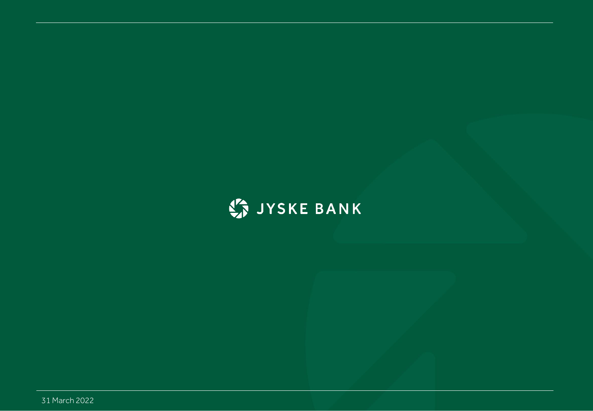# ST JYSKE BANK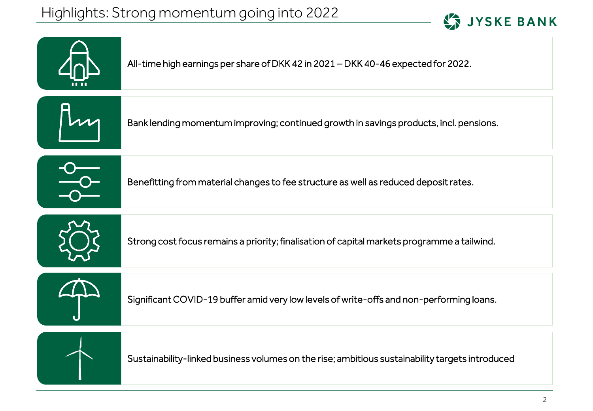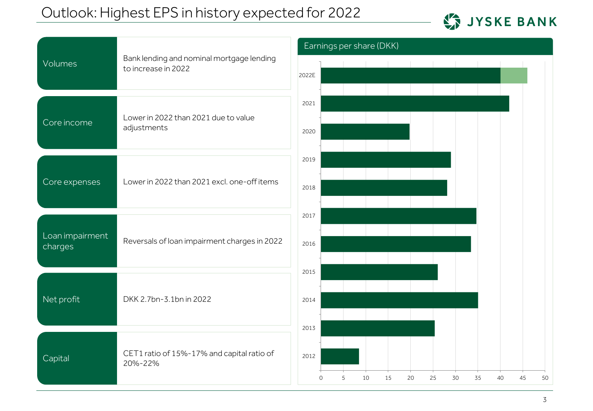### Outlook: Highest EPS in history expected for 2022



| Volumes                    | Bank lending and nominal mortgage lending<br>to increase in 2022 | Earnings per share (DKK)                                           |  |
|----------------------------|------------------------------------------------------------------|--------------------------------------------------------------------|--|
|                            |                                                                  |                                                                    |  |
|                            |                                                                  | 2022E                                                              |  |
|                            |                                                                  | 2021                                                               |  |
| Core income                | Lower in 2022 than 2021 due to value<br>adjustments              | 2020                                                               |  |
|                            |                                                                  |                                                                    |  |
|                            |                                                                  | 2019                                                               |  |
| Core expenses              | Lower in 2022 than 2021 excl. one-off items                      | 2018                                                               |  |
|                            |                                                                  |                                                                    |  |
|                            |                                                                  | 2017                                                               |  |
| Loan impairment<br>charges | Reversals of loan impairment charges in 2022                     | 2016                                                               |  |
|                            |                                                                  |                                                                    |  |
|                            |                                                                  | 2015                                                               |  |
| Net profit                 | DKK 2.7bn-3.1bn in 2022                                          | 2014                                                               |  |
|                            |                                                                  | 2013                                                               |  |
|                            |                                                                  |                                                                    |  |
| Capital                    | CET1 ratio of 15%-17% and capital ratio of<br>20%-22%            | 2012                                                               |  |
|                            |                                                                  | 50<br>5<br>10<br>15<br>20<br>25<br>30<br>35<br>40<br>45<br>$\circ$ |  |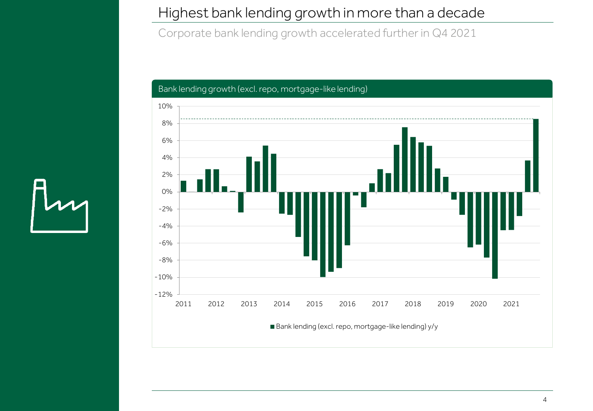#### Highest bank lending growth in more than a decade

Corporate bank lending growth accelerated further in Q4 2021

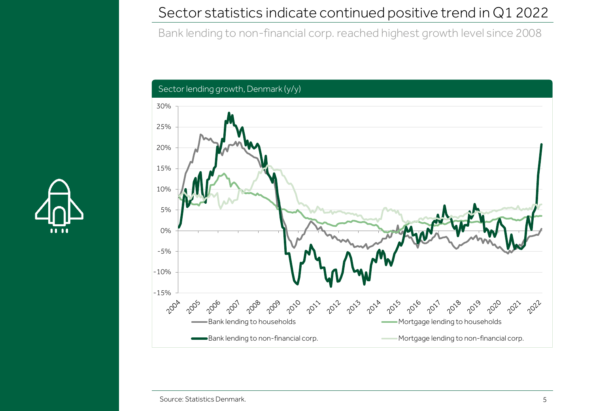#### Sector statistics indicate continued positive trend in Q1 2022

Bank lending to non-financial corp. reached highest growth level since 2008





Source: Statistics Denmark.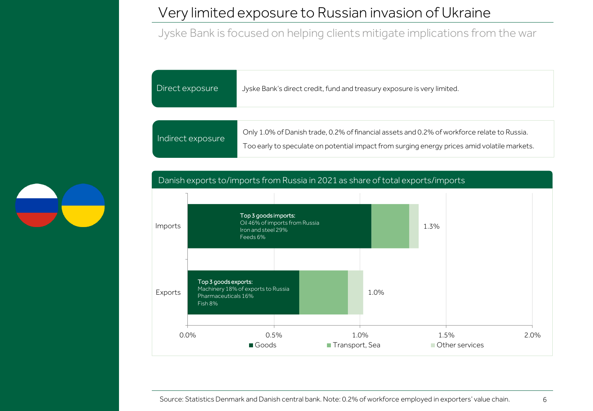#### Very limited exposure to Russian invasion of Ukraine

Jyske Bank is focused on helping clients mitigate implications from the war

| Direct exposure   | Jyske Bank's direct credit, fund and treasury exposure is very limited.                                                                                                                     |
|-------------------|---------------------------------------------------------------------------------------------------------------------------------------------------------------------------------------------|
|                   |                                                                                                                                                                                             |
| Indirect exposure | Only 1.0% of Danish trade, 0.2% of financial assets and 0.2% of workforce relate to Russia.<br>Too early to speculate on potential impact from surging energy prices amid volatile markets. |

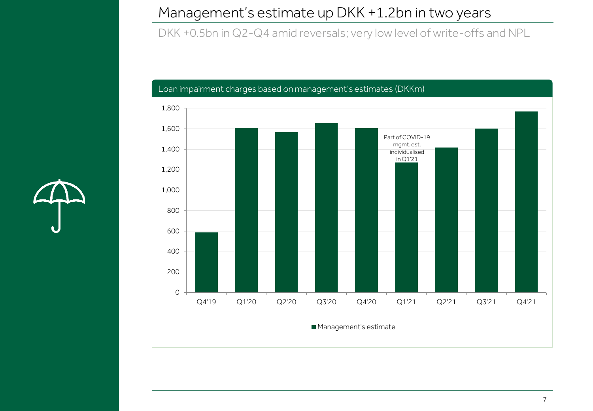#### Management's estimate up DKK +1.2bn in two years

DKK +0.5bn in Q2-Q4 amid reversals; very low level of write-offs and NPL

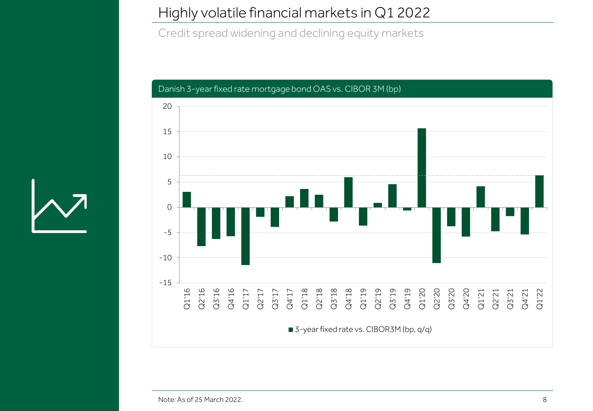#### Highly volatile financial markets in Q1 2022

Credit spread widening and declining equity markets



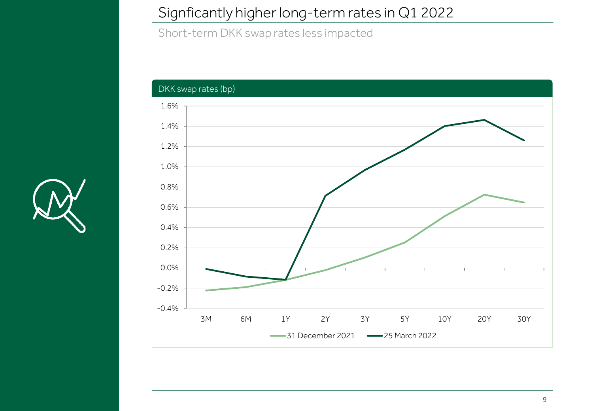#### Signficantly higher long-term rates in Q1 2022

Short-term DKK swap rates less impacted



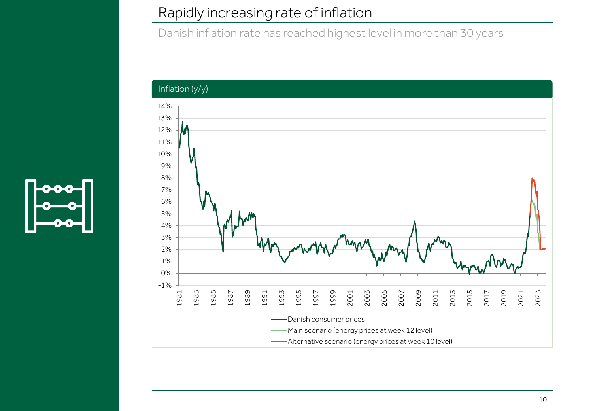#### Rapidly increasing rate of inflation

Danish inflation rate has reached highest level in more than 30 years